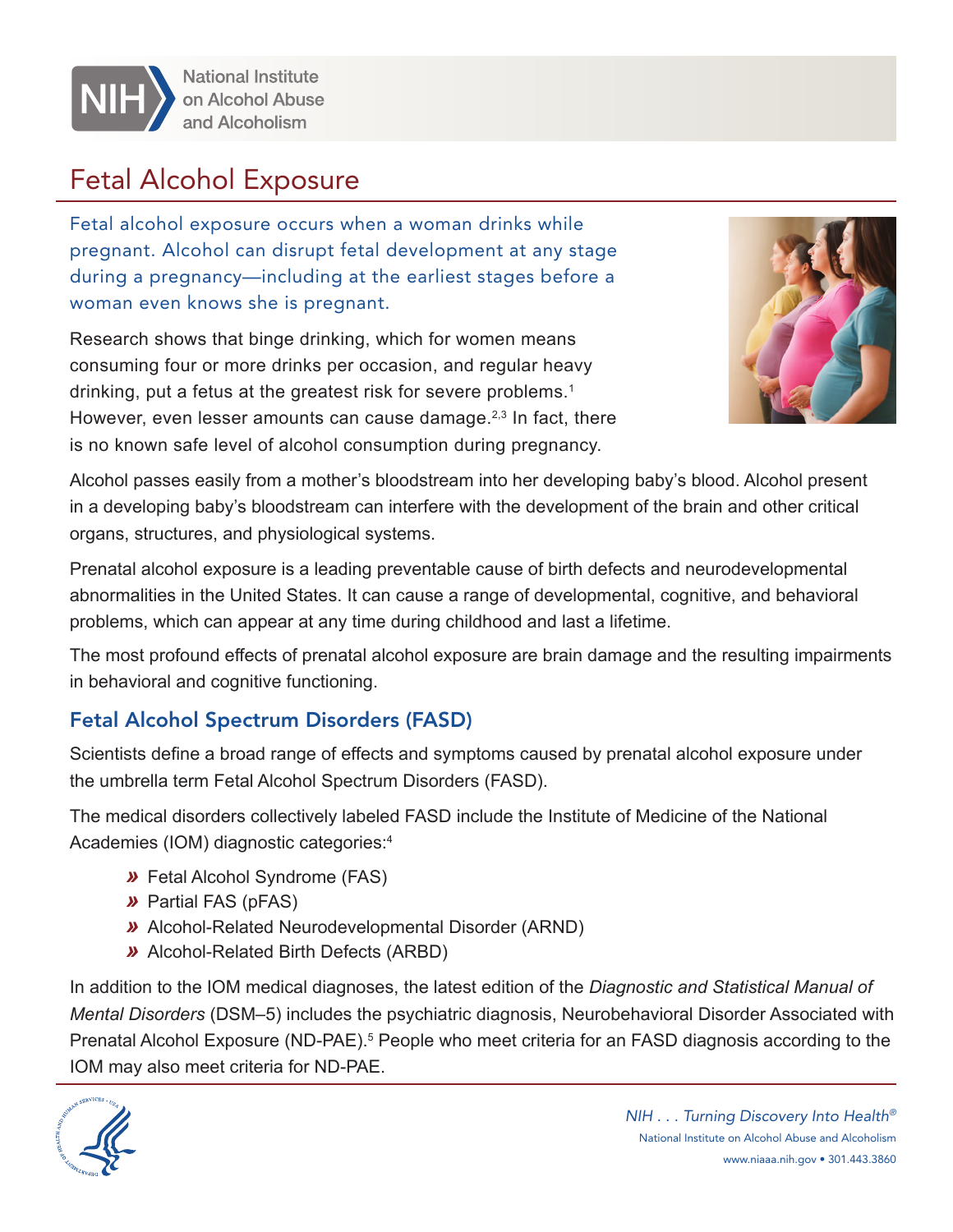

**National Institute** on Alcohol Abuse and Alcoholism

# Fetal Alcohol Exposure

Fetal alcohol exposure occurs when a woman drinks while pregnant. Alcohol can disrupt fetal development at any stage during a pregnancy—including at the earliest stages before a woman even knows she is pregnant.

Research shows that binge drinking, which for women means consuming four or more drinks per occasion, and regular heavy drinking, put a fetus at the greatest risk for severe problems.<sup>1</sup> However, even lesser amounts can cause damage. $2,3$  In fact, there is no known safe level of alcohol consumption during pregnancy.



Alcohol passes easily from a mother's bloodstream into her developing baby's blood. Alcohol present in a developing baby's bloodstream can interfere with the development of the brain and other critical organs, structures, and physiological systems.

Prenatal alcohol exposure is a leading preventable cause of birth defects and neurodevelopmental abnormalities in the United States. It can cause a range of developmental, cognitive, and behavioral problems, which can appear at any time during childhood and last a lifetime.

The most profound effects of prenatal alcohol exposure are brain damage and the resulting impairments in behavioral and cognitive functioning.

# Fetal Alcohol Spectrum Disorders (FASD)

Scientists define a broad range of effects and symptoms caused by prenatal alcohol exposure under the umbrella term Fetal Alcohol Spectrum Disorders (FASD).

The medical disorders collectively labeled FASD include the Institute of Medicine of the National Academies (IOM) diagnostic categories:4

- *»* Fetal Alcohol Syndrome (FAS)
- *»* Partial FAS (pFAS)
- *»* Alcohol-Related Neurodevelopmental Disorder (ARND)
- *»* Alcohol-Related Birth Defects (ARBD)

In addition to the IOM medical diagnoses, the latest edition of the *Diagnostic and Statistical Manual of Mental Disorders* (DSM–5) includes the psychiatric diagnosis, Neurobehavioral Disorder Associated with Prenatal Alcohol Exposure (ND-PAE).<sup>5</sup> People who meet criteria for an FASD diagnosis according to the IOM may also meet criteria for ND-PAE.

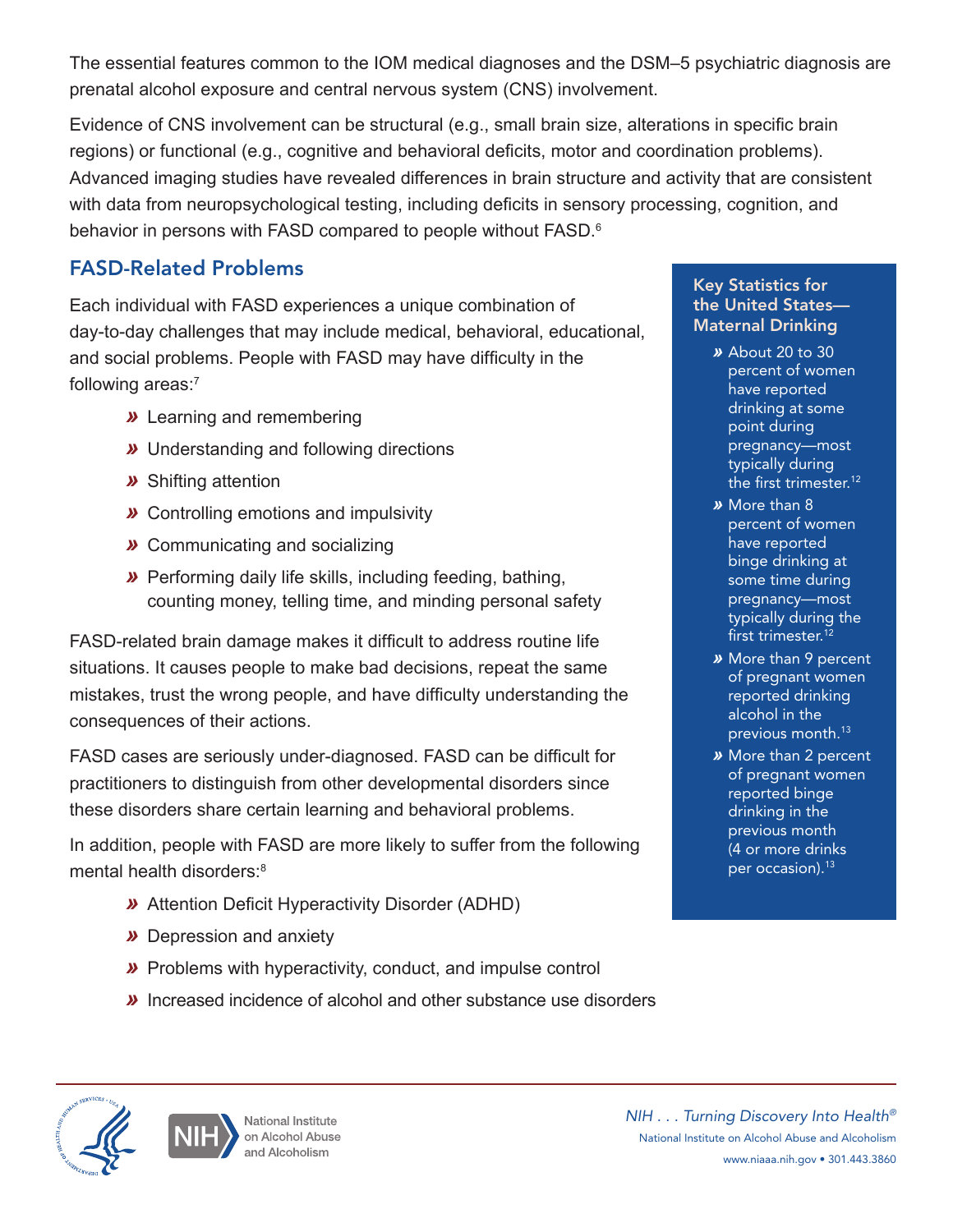The essential features common to the IOM medical diagnoses and the DSM–5 psychiatric diagnosis are prenatal alcohol exposure and central nervous system (CNS) involvement.

Evidence of CNS involvement can be structural (e.g., small brain size, alterations in specific brain regions) or functional (e.g., cognitive and behavioral deficits, motor and coordination problems). Advanced imaging studies have revealed differences in brain structure and activity that are consistent with data from neuropsychological testing, including deficits in sensory processing, cognition, and behavior in persons with FASD compared to people without FASD.<sup>6</sup>

# FASD-Related Problems

Each individual with FASD experiences a unique combination of day-to-day challenges that may include medical, behavioral, educational, and social problems. People with FASD may have difficulty in the following areas:<sup>7</sup>

- *»* Learning and remembering
- *»* Understanding and following directions
- *»* Shifting attention
- *»* Controlling emotions and impulsivity
- *»* Communicating and socializing
- *»* Performing daily life skills, including feeding, bathing, counting money, telling time, and minding personal safety

FASD-related brain damage makes it difficult to address routine life situations. It causes people to make bad decisions, repeat the same mistakes, trust the wrong people, and have difficulty understanding the consequences of their actions.

FASD cases are seriously under-diagnosed. FASD can be difficult for practitioners to distinguish from other developmental disorders since these disorders share certain learning and behavioral problems.

In addition, people with FASD are more likely to suffer from the following mental health disorders:<sup>8</sup>

- *»* Attention Deficit Hyperactivity Disorder (ADHD)
- *»* Depression and anxiety
- *»* Problems with hyperactivity, conduct, and impulse control
- *»* Increased incidence of alcohol and other substance use disorders

#### Key Statistics for the United States— Maternal Drinking

- *»* About 20 to 30 percent of women have reported drinking at some point during pregnancy—most typically during the first trimester.<sup>12</sup>
- *»* More than 8 percent of women have reported binge drinking at some time during pregnancy—most typically during the first trimester.<sup>12</sup>
- previous month.<sup>13</sup> *»* More than 9 percent of pregnant women reported drinking alcohol in the
- *»* More than 2 percent of pregnant women reported binge drinking in the previous month (4 or more drinks per occasion).<sup>13</sup>





*NIH . . . Turning Discovery Into Health®*  National Institute on Alcohol Abuse and Alcoholism www.niaaa.nih.gov • 301.443.3860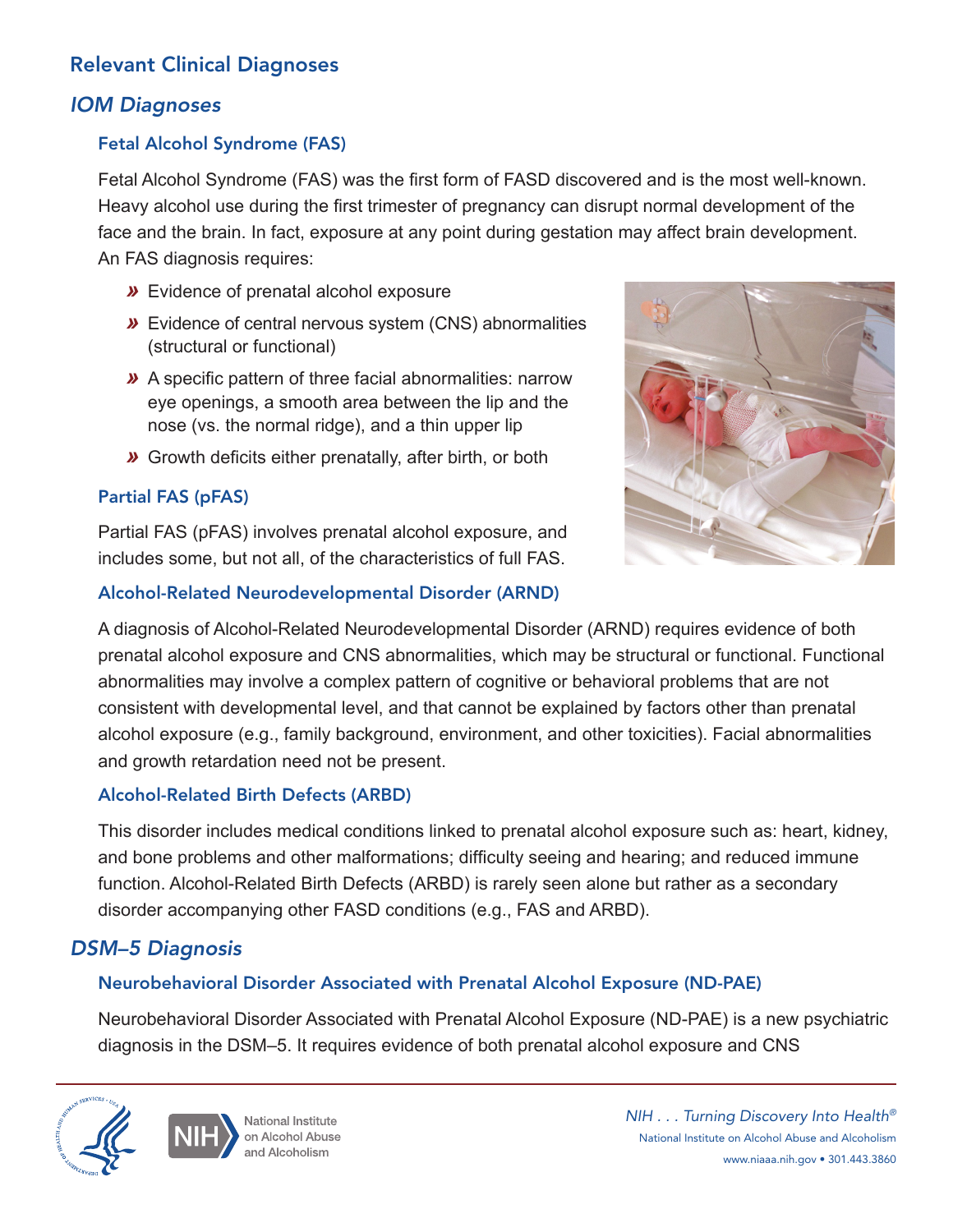# Relevant Clinical Diagnoses

### *IOM Diagnoses*

#### Fetal Alcohol Syndrome (FAS)

Fetal Alcohol Syndrome (FAS) was the first form of FASD discovered and is the most well-known. Heavy alcohol use during the first trimester of pregnancy can disrupt normal development of the face and the brain. In fact, exposure at any point during gestation may affect brain development. An FAS diagnosis requires:

- *»* Evidence of prenatal alcohol exposure
- *»* Evidence of central nervous system (CNS) abnormalities (structural or functional)
- *»* A specific pattern of three facial abnormalities: narrow eye openings, a smooth area between the lip and the nose (vs. the normal ridge), and a thin upper lip
- *»* Growth deficits either prenatally, after birth, or both

#### Partial FAS (pFAS)

Partial FAS (pFAS) involves prenatal alcohol exposure, and includes some, but not all, of the characteristics of full FAS.

#### Alcohol-Related Neurodevelopmental Disorder (ARND)



A diagnosis of Alcohol-Related Neurodevelopmental Disorder (ARND) requires evidence of both prenatal alcohol exposure and CNS abnormalities, which may be structural or functional. Functional abnormalities may involve a complex pattern of cognitive or behavioral problems that are not consistent with developmental level, and that cannot be explained by factors other than prenatal alcohol exposure (e.g., family background, environment, and other toxicities). Facial abnormalities and growth retardation need not be present.

#### Alcohol-Related Birth Defects (ARBD)

This disorder includes medical conditions linked to prenatal alcohol exposure such as: heart, kidney, and bone problems and other malformations; difficulty seeing and hearing; and reduced immune function. Alcohol-Related Birth Defects (ARBD) is rarely seen alone but rather as a secondary disorder accompanying other FASD conditions (e.g., FAS and ARBD).

### *DSM–5 Diagnosis*

#### Neurobehavioral Disorder Associated with Prenatal Alcohol Exposure (ND-PAE)

Neurobehavioral Disorder Associated with Prenatal Alcohol Exposure (ND-PAE) is a new psychiatric diagnosis in the DSM–5. It requires evidence of both prenatal alcohol exposure and CNS





*NIH . . . Turning Discovery Into Health®*  National Institute on Alcohol Abuse and Alcoholism www.niaaa.nih.gov • 301.443.3860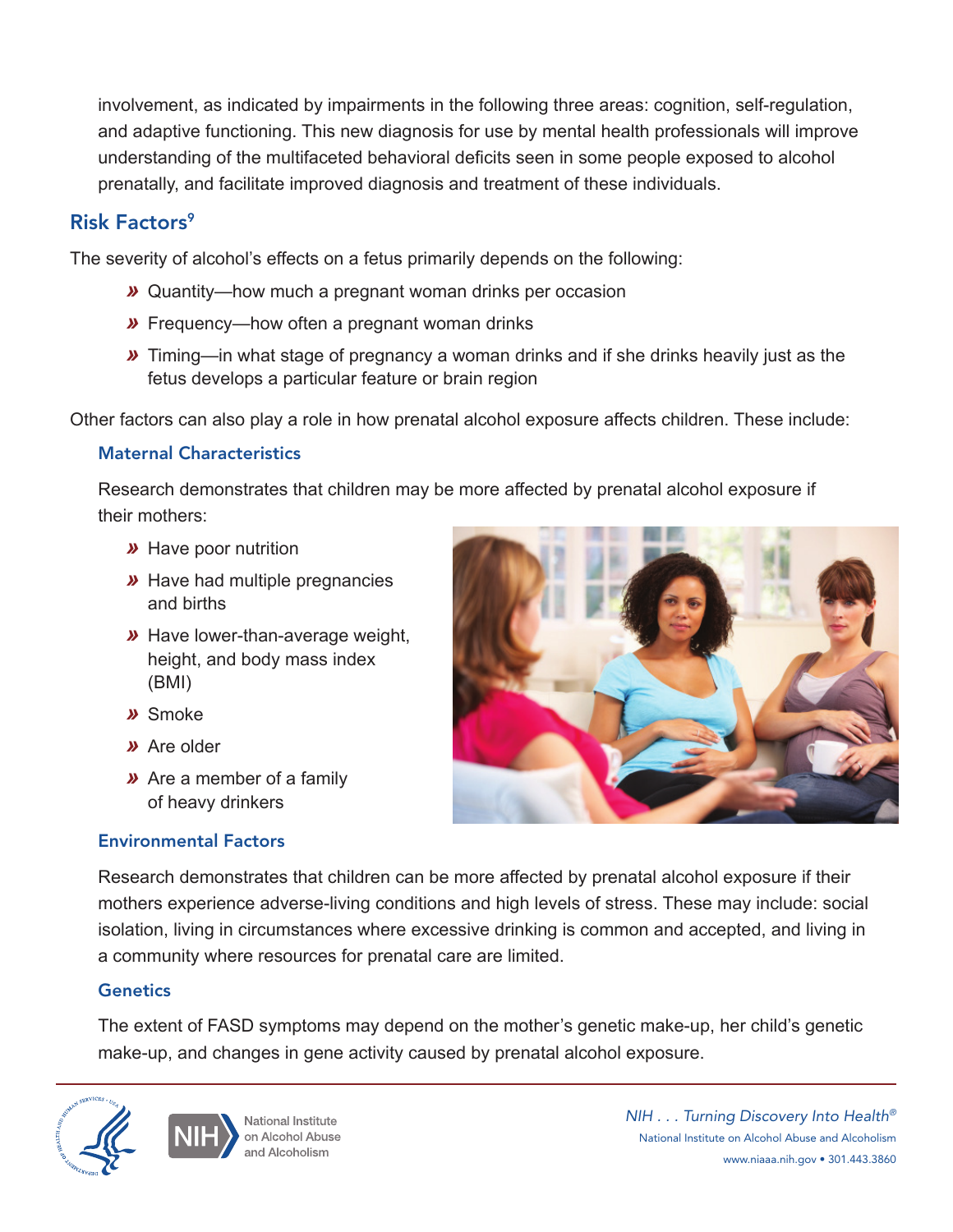involvement, as indicated by impairments in the following three areas: cognition, self-regulation, and adaptive functioning. This new diagnosis for use by mental health professionals will improve understanding of the multifaceted behavioral deficits seen in some people exposed to alcohol prenatally, and facilitate improved diagnosis and treatment of these individuals.

# Risk Factors<sup>9</sup>

The severity of alcohol's effects on a fetus primarily depends on the following:

- *»* Quantity—how much a pregnant woman drinks per occasion
- *»* Frequency—how often a pregnant woman drinks
- *»* Timing—in what stage of pregnancy a woman drinks and if she drinks heavily just as the fetus develops a particular feature or brain region

Other factors can also play a role in how prenatal alcohol exposure affects children. These include:

#### Maternal Characteristics

Research demonstrates that children may be more affected by prenatal alcohol exposure if their mothers:

- *»* Have poor nutrition
- *»* Have had multiple pregnancies and births
- *»* Have lower-than-average weight, height, and body mass index (BMI)
- *»* Smoke
- *»* Are older
- *»* Are a member of a family of heavy drinkers

#### Environmental Factors



Research demonstrates that children can be more affected by prenatal alcohol exposure if their mothers experience adverse-living conditions and high levels of stress. These may include: social isolation, living in circumstances where excessive drinking is common and accepted, and living in a community where resources for prenatal care are limited.

#### **Genetics**

The extent of FASD symptoms may depend on the mother's genetic make-up, her child's genetic make-up, and changes in gene activity caused by prenatal alcohol exposure.





*NIH . . . Turning Discovery Into Health®*  National Institute on Alcohol Abuse and Alcoholism www.niaaa.nih.gov • 301.443.3860